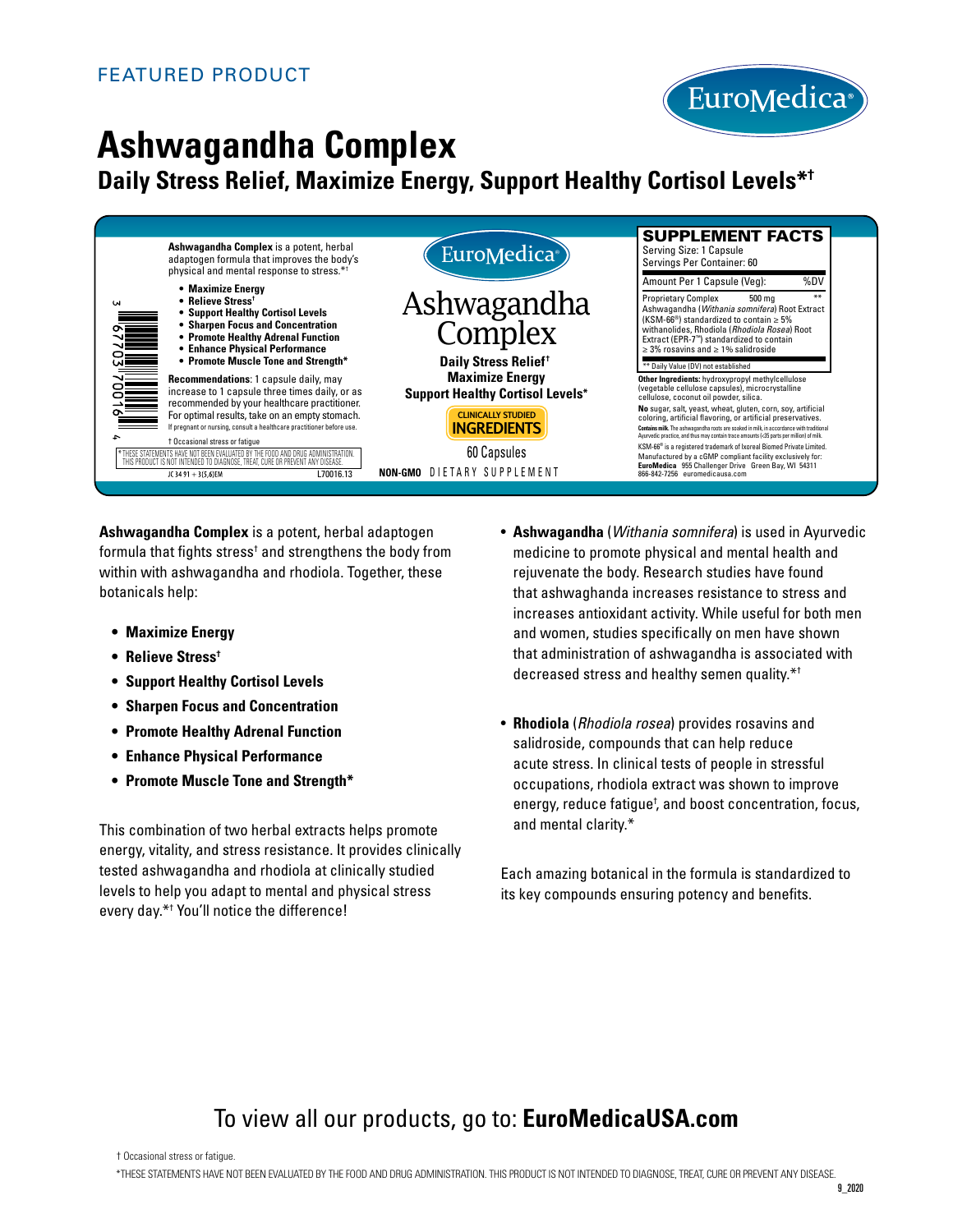

# **Ashwagandha Complex**

## **Daily Stress Relief, Maximize Energy, Support Healthy Cortisol Levels\*†**



**Ashwagandha Complex** is a potent, herbal adaptogen formula that fights stress $\dagger$  and strengthens the body from within with ashwagandha and rhodiola. Together, these botanicals help:

- **• Maximize Energy**
- **• Relieve Stress†**
- **• Support Healthy Cortisol Levels**
- **• Sharpen Focus and Concentration**
- **• Promote Healthy Adrenal Function**
- **• Enhance Physical Performance**
- **• Promote Muscle Tone and Strength\***

This combination of two herbal extracts helps promote energy, vitality, and stress resistance. It provides clinically tested ashwagandha and rhodiola at clinically studied levels to help you adapt to mental and physical stress every day.\*† You'll notice the difference!

- **Ashwagandha** (*Withania somnifera*) is used in Ayurvedic medicine to promote physical and mental health and rejuvenate the body. Research studies have found that ashwaghanda increases resistance to stress and increases antioxidant activity. While useful for both men and women, studies specifically on men have shown that administration of ashwagandha is associated with decreased stress and healthy semen quality.\*†
- **Rhodiola** (*Rhodiola rosea*) provides rosavins and salidroside, compounds that can help reduce acute stress. In clinical tests of people in stressful occupations, rhodiola extract was shown to improve energy, reduce fatigue<sup>†</sup>, and boost concentration, focus, and mental clarity.\*

Each amazing botanical in the formula is standardized to its key compounds ensuring potency and benefits.

# To view all our products, go to: **EuroMedicaUSA.com**

\*THESE STATEMENTS HAVE NOT BEEN EVALUATED BY THE FOOD AND DRUG ADMINISTRATION. THIS PRODUCT IS NOT INTENDED TO DIAGNOSE, TREAT, CURE OR PREVENT ANY DISEASE.